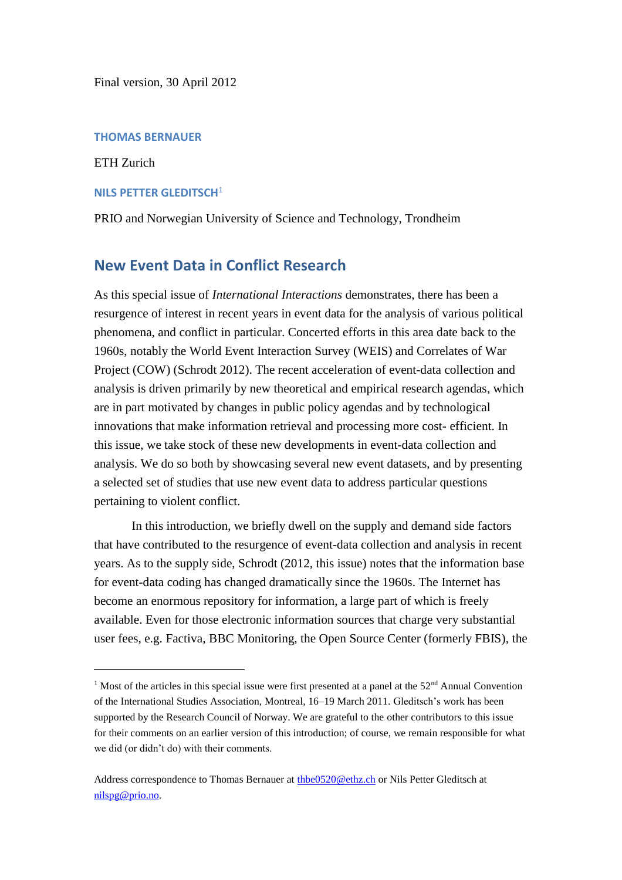Final version, 30 April 2012

### **THOMAS BERNAUER**

ETH Zurich

 $\overline{a}$ 

## **NILS PETTER GLEDITSCH**<sup>1</sup>

PRIO and Norwegian University of Science and Technology, Trondheim

# **New Event Data in Conflict Research**

As this special issue of *International Interactions* demonstrates, there has been a resurgence of interest in recent years in event data for the analysis of various political phenomena, and conflict in particular. Concerted efforts in this area date back to the 1960s, notably the World Event Interaction Survey (WEIS) and Correlates of War Project (COW) (Schrodt 2012). The recent acceleration of event-data collection and analysis is driven primarily by new theoretical and empirical research agendas, which are in part motivated by changes in public policy agendas and by technological innovations that make information retrieval and processing more cost- efficient. In this issue, we take stock of these new developments in event-data collection and analysis. We do so both by showcasing several new event datasets, and by presenting a selected set of studies that use new event data to address particular questions pertaining to violent conflict.

In this introduction, we briefly dwell on the supply and demand side factors that have contributed to the resurgence of event-data collection and analysis in recent years. As to the supply side, Schrodt (2012, this issue) notes that the information base for event-data coding has changed dramatically since the 1960s. The Internet has become an enormous repository for information, a large part of which is freely available. Even for those electronic information sources that charge very substantial user fees, e.g. Factiva, BBC Monitoring, the Open Source Center (formerly FBIS), the

<sup>&</sup>lt;sup>1</sup> Most of the articles in this special issue were first presented at a panel at the  $52<sup>nd</sup>$  Annual Convention of the International Studies Association, Montreal, 16–19 March 2011. Gleditsch's work has been supported by the Research Council of Norway. We are grateful to the other contributors to this issue for their comments on an earlier version of this introduction; of course, we remain responsible for what we did (or didn't do) with their comments.

Address correspondence to Thomas Bernauer at [thbe0520@ethz.ch](mailto:thbe0520@ethz.ch) or Nils Petter Gleditsch at [nilspg@prio.no.](mailto:nilspg@prio.no)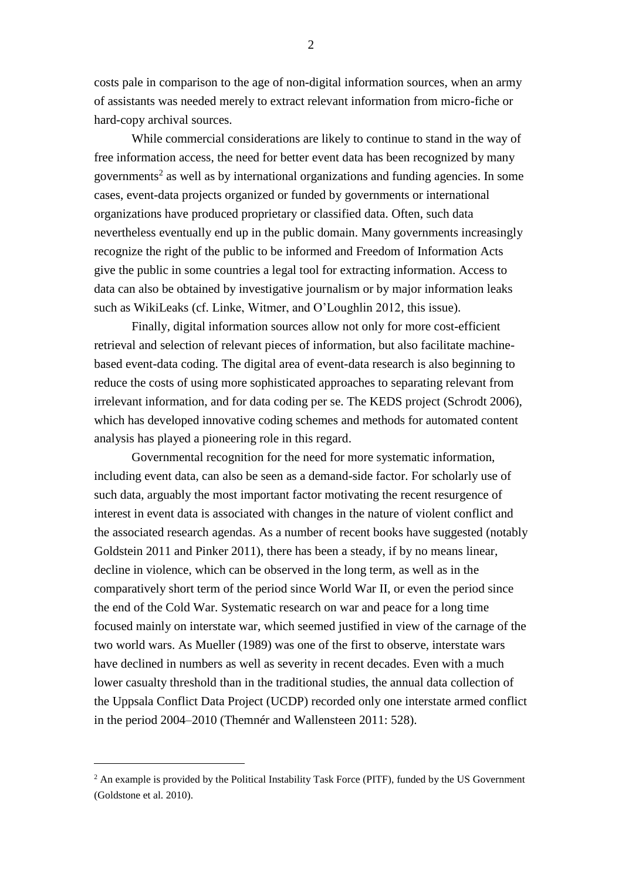costs pale in comparison to the age of non-digital information sources, when an army of assistants was needed merely to extract relevant information from micro-fiche or hard-copy archival sources.

While commercial considerations are likely to continue to stand in the way of free information access, the need for better event data has been recognized by many governments<sup>2</sup> as well as by international organizations and funding agencies. In some cases, event-data projects organized or funded by governments or international organizations have produced proprietary or classified data. Often, such data nevertheless eventually end up in the public domain. Many governments increasingly recognize the right of the public to be informed and Freedom of Information Acts give the public in some countries a legal tool for extracting information. Access to data can also be obtained by investigative journalism or by major information leaks such as WikiLeaks (cf. Linke, Witmer, and O'Loughlin 2012, this issue).

Finally, digital information sources allow not only for more cost-efficient retrieval and selection of relevant pieces of information, but also facilitate machinebased event-data coding. The digital area of event-data research is also beginning to reduce the costs of using more sophisticated approaches to separating relevant from irrelevant information, and for data coding per se. The KEDS project (Schrodt 2006), which has developed innovative coding schemes and methods for automated content analysis has played a pioneering role in this regard.

Governmental recognition for the need for more systematic information, including event data, can also be seen as a demand-side factor. For scholarly use of such data, arguably the most important factor motivating the recent resurgence of interest in event data is associated with changes in the nature of violent conflict and the associated research agendas. As a number of recent books have suggested (notably Goldstein 2011 and Pinker 2011), there has been a steady, if by no means linear, decline in violence, which can be observed in the long term, as well as in the comparatively short term of the period since World War II, or even the period since the end of the Cold War. Systematic research on war and peace for a long time focused mainly on interstate war, which seemed justified in view of the carnage of the two world wars. As Mueller (1989) was one of the first to observe, interstate wars have declined in numbers as well as severity in recent decades. Even with a much lower casualty threshold than in the traditional studies, the annual data collection of the Uppsala Conflict Data Project (UCDP) recorded only one interstate armed conflict in the period 2004–2010 (Themnér and Wallensteen 2011: 528).

 $\overline{a}$ 

2

<sup>&</sup>lt;sup>2</sup> An example is provided by the Political Instability Task Force (PITF), funded by the US Government (Goldstone et al. 2010).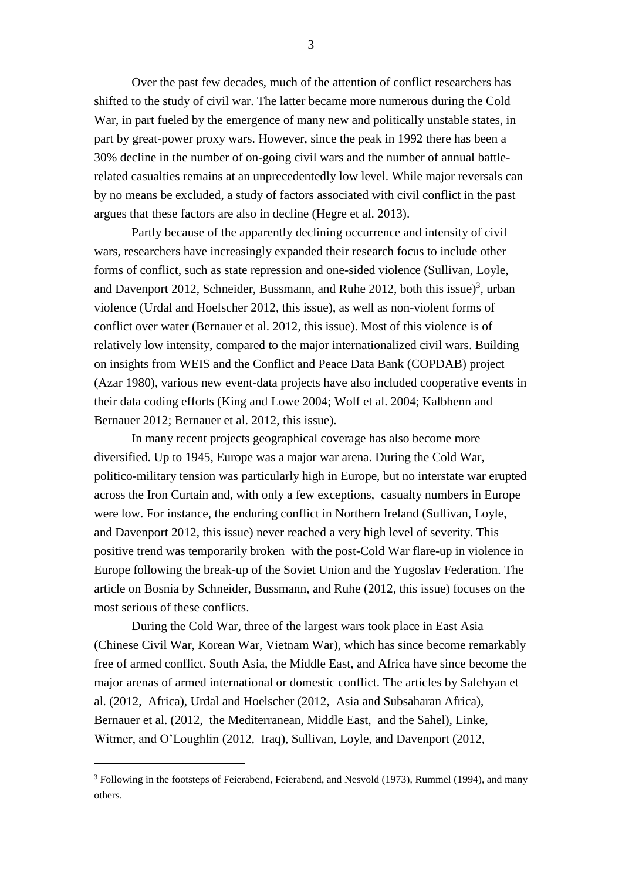Over the past few decades, much of the attention of conflict researchers has shifted to the study of civil war. The latter became more numerous during the Cold War, in part fueled by the emergence of many new and politically unstable states, in part by great-power proxy wars. However, since the peak in 1992 there has been a 30% decline in the number of on-going civil wars and the number of annual battlerelated casualties remains at an unprecedentedly low level. While major reversals can by no means be excluded, a study of factors associated with civil conflict in the past argues that these factors are also in decline (Hegre et al. 2013).

Partly because of the apparently declining occurrence and intensity of civil wars, researchers have increasingly expanded their research focus to include other forms of conflict, such as state repression and one-sided violence (Sullivan, Loyle, and Davenport 2012, Schneider, Bussmann, and Ruhe 2012, both this issue $3$ , urban violence (Urdal and Hoelscher 2012, this issue), as well as non-violent forms of conflict over water (Bernauer et al. 2012, this issue). Most of this violence is of relatively low intensity, compared to the major internationalized civil wars. Building on insights from WEIS and the Conflict and Peace Data Bank (COPDAB) project (Azar 1980), various new event-data projects have also included cooperative events in their data coding efforts (King and Lowe 2004; Wolf et al. 2004; Kalbhenn and Bernauer 2012; Bernauer et al. 2012, this issue).

In many recent projects geographical coverage has also become more diversified. Up to 1945, Europe was a major war arena. During the Cold War, politico-military tension was particularly high in Europe, but no interstate war erupted across the Iron Curtain and, with only a few exceptions, casualty numbers in Europe were low. For instance, the enduring conflict in Northern Ireland (Sullivan, Loyle, and Davenport 2012, this issue) never reached a very high level of severity. This positive trend was temporarily broken with the post-Cold War flare-up in violence in Europe following the break-up of the Soviet Union and the Yugoslav Federation. The article on Bosnia by Schneider, Bussmann, and Ruhe (2012, this issue) focuses on the most serious of these conflicts.

During the Cold War, three of the largest wars took place in East Asia (Chinese Civil War, Korean War, Vietnam War), which has since become remarkably free of armed conflict. South Asia, the Middle East, and Africa have since become the major arenas of armed international or domestic conflict. The articles by Salehyan et al. (2012, Africa), Urdal and Hoelscher (2012, Asia and Subsaharan Africa), Bernauer et al. (2012, the Mediterranean, Middle East, and the Sahel), Linke, Witmer, and O'Loughlin (2012, Iraq), Sullivan, Loyle, and Davenport (2012,

 $\overline{a}$ 

<sup>&</sup>lt;sup>3</sup> Following in the footsteps of Feierabend, Feierabend, and Nesvold (1973), Rummel (1994), and many others.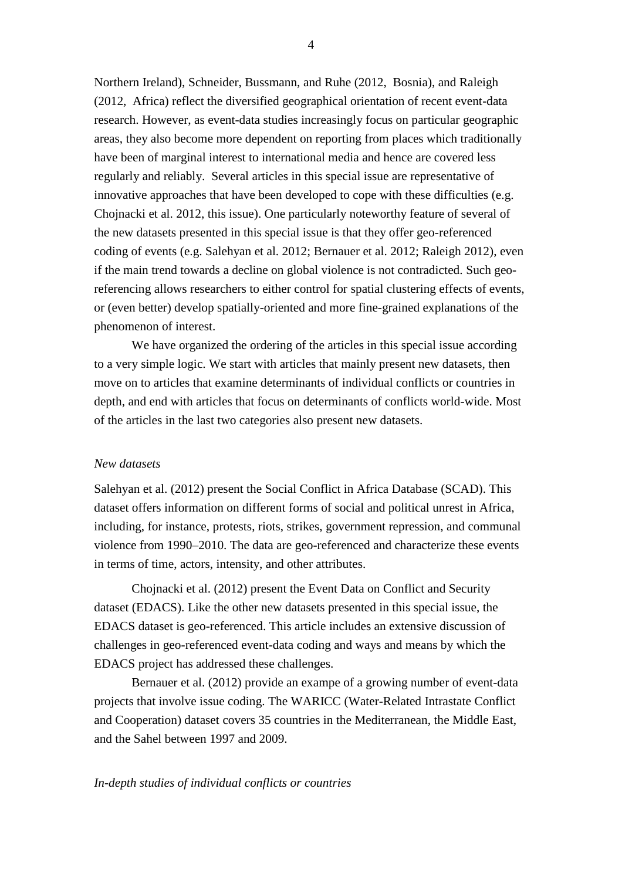Northern Ireland), Schneider, Bussmann, and Ruhe (2012, Bosnia), and Raleigh (2012, Africa) reflect the diversified geographical orientation of recent event-data research. However, as event-data studies increasingly focus on particular geographic areas, they also become more dependent on reporting from places which traditionally have been of marginal interest to international media and hence are covered less regularly and reliably. Several articles in this special issue are representative of innovative approaches that have been developed to cope with these difficulties (e.g. Chojnacki et al. 2012, this issue). One particularly noteworthy feature of several of the new datasets presented in this special issue is that they offer geo-referenced coding of events (e.g. Salehyan et al. 2012; Bernauer et al. 2012; Raleigh 2012), even if the main trend towards a decline on global violence is not contradicted. Such georeferencing allows researchers to either control for spatial clustering effects of events, or (even better) develop spatially-oriented and more fine-grained explanations of the phenomenon of interest.

We have organized the ordering of the articles in this special issue according to a very simple logic. We start with articles that mainly present new datasets, then move on to articles that examine determinants of individual conflicts or countries in depth, and end with articles that focus on determinants of conflicts world-wide. Most of the articles in the last two categories also present new datasets.

## *New datasets*

Salehyan et al. (2012) present the Social Conflict in Africa Database (SCAD). This dataset offers information on different forms of social and political unrest in Africa, including, for instance, protests, riots, strikes, government repression, and communal violence from 1990–2010. The data are geo-referenced and characterize these events in terms of time, actors, intensity, and other attributes.

Chojnacki et al. (2012) present the Event Data on Conflict and Security dataset (EDACS). Like the other new datasets presented in this special issue, the EDACS dataset is geo-referenced. This article includes an extensive discussion of challenges in geo-referenced event-data coding and ways and means by which the EDACS project has addressed these challenges.

Bernauer et al. (2012) provide an exampe of a growing number of event-data projects that involve issue coding. The WARICC (Water-Related Intrastate Conflict and Cooperation) dataset covers 35 countries in the Mediterranean, the Middle East, and the Sahel between 1997 and 2009.

## *In-depth studies of individual conflicts or countries*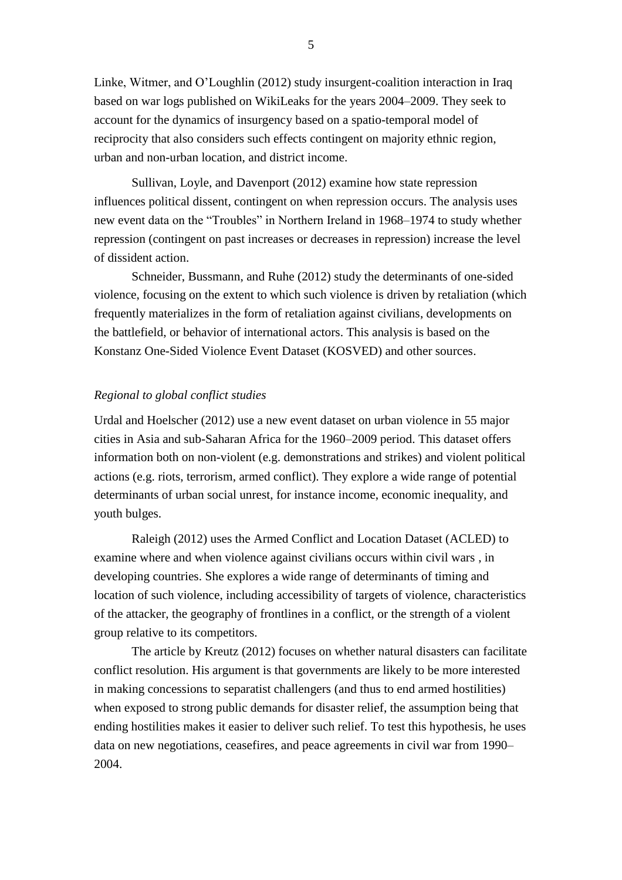Linke, Witmer, and O'Loughlin (2012) study insurgent-coalition interaction in Iraq based on war logs published on WikiLeaks for the years 2004–2009. They seek to account for the dynamics of insurgency based on a spatio-temporal model of reciprocity that also considers such effects contingent on majority ethnic region, urban and non-urban location, and district income.

Sullivan, Loyle, and Davenport (2012) examine how state repression influences political dissent, contingent on when repression occurs. The analysis uses new event data on the "Troubles" in Northern Ireland in 1968–1974 to study whether repression (contingent on past increases or decreases in repression) increase the level of dissident action.

Schneider, Bussmann, and Ruhe (2012) study the determinants of one-sided violence, focusing on the extent to which such violence is driven by retaliation (which frequently materializes in the form of retaliation against civilians, developments on the battlefield, or behavior of international actors. This analysis is based on the Konstanz One-Sided Violence Event Dataset (KOSVED) and other sources.

### *Regional to global conflict studies*

Urdal and Hoelscher (2012) use a new event dataset on urban violence in 55 major cities in Asia and sub-Saharan Africa for the 1960–2009 period. This dataset offers information both on non-violent (e.g. demonstrations and strikes) and violent political actions (e.g. riots, terrorism, armed conflict). They explore a wide range of potential determinants of urban social unrest, for instance income, economic inequality, and youth bulges.

Raleigh (2012) uses the Armed Conflict and Location Dataset (ACLED) to examine where and when violence against civilians occurs within civil wars , in developing countries. She explores a wide range of determinants of timing and location of such violence, including accessibility of targets of violence, characteristics of the attacker, the geography of frontlines in a conflict, or the strength of a violent group relative to its competitors.

The article by Kreutz (2012) focuses on whether natural disasters can facilitate conflict resolution. His argument is that governments are likely to be more interested in making concessions to separatist challengers (and thus to end armed hostilities) when exposed to strong public demands for disaster relief, the assumption being that ending hostilities makes it easier to deliver such relief. To test this hypothesis, he uses data on new negotiations, ceasefires, and peace agreements in civil war from 1990– 2004.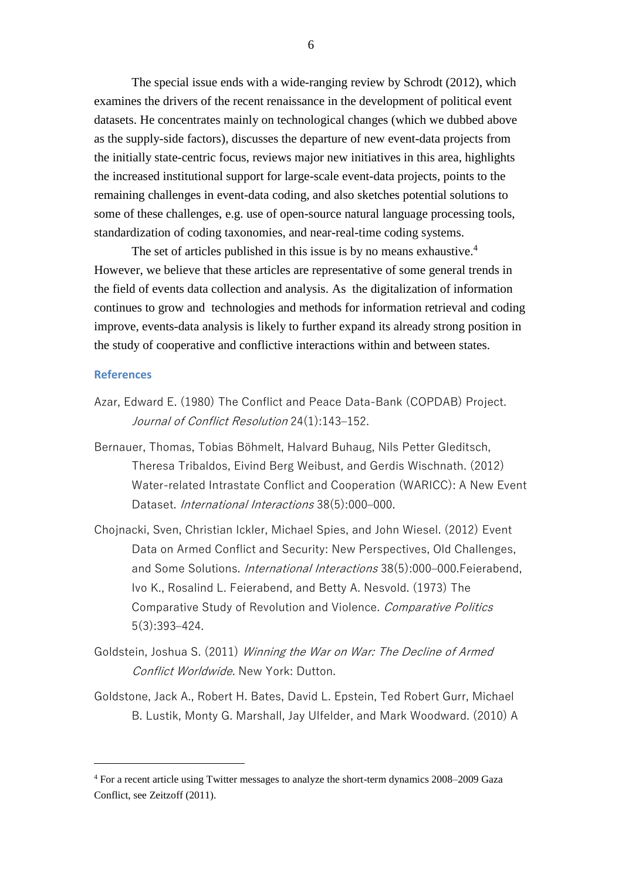The special issue ends with a wide-ranging review by Schrodt (2012), which examines the drivers of the recent renaissance in the development of political event datasets. He concentrates mainly on technological changes (which we dubbed above as the supply-side factors), discusses the departure of new event-data projects from the initially state-centric focus, reviews major new initiatives in this area, highlights the increased institutional support for large-scale event-data projects, points to the remaining challenges in event-data coding, and also sketches potential solutions to some of these challenges, e.g. use of open-source natural language processing tools, standardization of coding taxonomies, and near-real-time coding systems.

The set of articles published in this issue is by no means exhaustive.<sup>4</sup> However, we believe that these articles are representative of some general trends in the field of events data collection and analysis. As the digitalization of information continues to grow and technologies and methods for information retrieval and coding improve, events-data analysis is likely to further expand its already strong position in the study of cooperative and conflictive interactions within and between states.

### **References**

 $\overline{a}$ 

- Azar, Edward E. (1980) The Conflict and Peace Data-Bank (COPDAB) Project. Journal of Conflict Resolution 24(1):143–152.
- Bernauer, Thomas, Tobias Böhmelt, Halvard Buhaug, Nils Petter Gleditsch, Theresa Tribaldos, Eivind Berg Weibust, and Gerdis Wischnath. (2012) Water-related Intrastate Conflict and Cooperation (WARICC): A New Event Dataset. International Interactions 38(5):000–000.
- Chojnacki, Sven, Christian Ickler, Michael Spies, and John Wiesel. (2012) Event Data on Armed Conflict and Security: New Perspectives, Old Challenges, and Some Solutions. International Interactions 38(5):000–000.Feierabend, Ivo K., Rosalind L. Feierabend, and Betty A. Nesvold. (1973) The Comparative Study of Revolution and Violence. Comparative Politics 5(3):393–424.
- Goldstein, Joshua S. (2011) Winning the War on War: The Decline of Armed Conflict Worldwide. New York: Dutton.
- Goldstone, Jack A., Robert H. Bates, David L. Epstein, Ted Robert Gurr, Michael B. Lustik, Monty G. Marshall, Jay Ulfelder, and Mark Woodward. (2010) A

<sup>4</sup> For a recent article using Twitter messages to analyze the short-term dynamics 2008–2009 Gaza Conflict, see Zeitzoff (2011).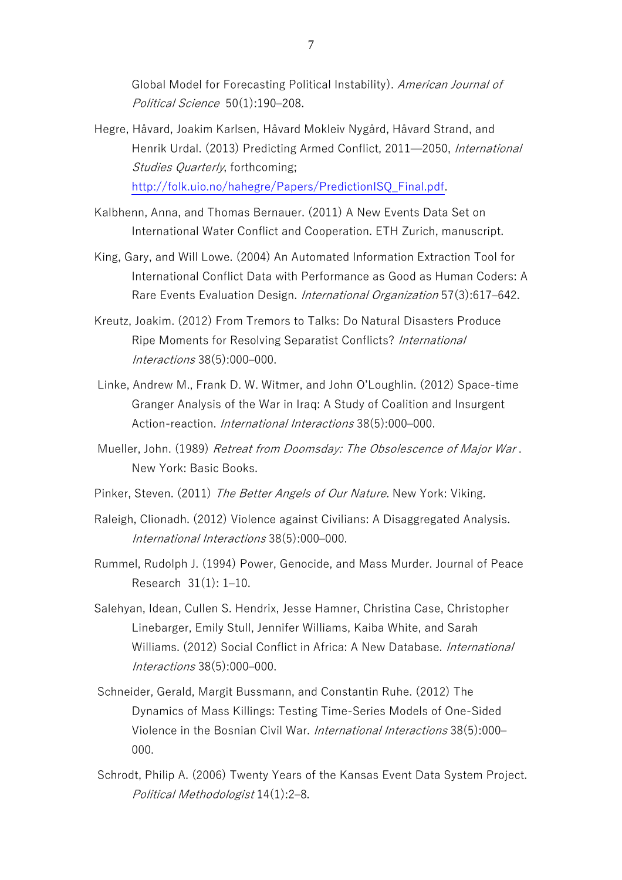Global Model for Forecasting Political Instability). American Journal of Political Science 50(1):190–208.

- Hegre, Håvard, Joakim Karlsen, Håvard Mokleiv Nygård, Håvard Strand, and Henrik Urdal. (2013) Predicting Armed Conflict, 2011—2050, International Studies Quarterly, forthcoming; [http://folk.uio.no/hahegre/Papers/PredictionISQ\\_Final.pdf.](http://folk.uio.no/hahegre/Papers/PredictionISQ_Final.pdf)
- Kalbhenn, Anna, and Thomas Bernauer. (2011) A New Events Data Set on International Water Conflict and Cooperation. ETH Zurich, manuscript.
- King, Gary, and Will Lowe. (2004) An Automated Information Extraction Tool for International Conflict Data with Performance as Good as Human Coders: A Rare Events Evaluation Design. International Organization 57(3):617–642.
- Kreutz, Joakim. (2012) From Tremors to Talks: Do Natural Disasters Produce Ripe Moments for Resolving Separatist Conflicts? International Interactions 38(5):000–000.
- Linke, Andrew M., Frank D. W. Witmer, and John O'Loughlin. (2012) Space-time Granger Analysis of the War in Iraq: A Study of Coalition and Insurgent Action-reaction. International Interactions 38(5):000–000.
- Mueller, John. (1989) Retreat from Doomsday: The Obsolescence of Major War. New York: Basic Books.
- Pinker, Steven. (2011) The Better Angels of Our Nature. New York: Viking.
- Raleigh, Clionadh. (2012) Violence against Civilians: A Disaggregated Analysis. International Interactions 38(5):000–000.
- Rummel, Rudolph J. (1994) Power, Genocide, and Mass Murder. Journal of Peace Research 31(1): 1–10.
- Salehyan, Idean, Cullen S. Hendrix, Jesse Hamner, Christina Case, Christopher Linebarger, Emily Stull, Jennifer Williams, Kaiba White, and Sarah Williams. (2012) Social Conflict in Africa: A New Database. *International* Interactions 38(5):000–000.
- Schneider, Gerald, Margit Bussmann, and Constantin Ruhe. (2012) The Dynamics of Mass Killings: Testing Time-Series Models of One-Sided Violence in the Bosnian Civil War. International Interactions 38(5):000– 000.
- Schrodt, Philip A. (2006) Twenty Years of the Kansas Event Data System Project. Political Methodologist 14(1):2–8.